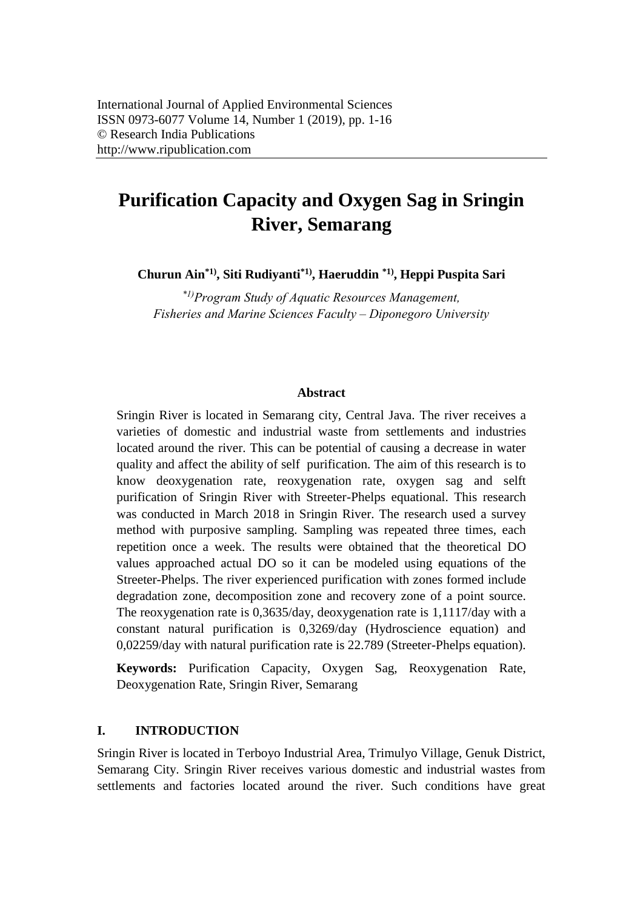# **Purification Capacity and Oxygen Sag in Sringin River, Semarang**

**Churun Ain\*1), Siti Rudiyanti\*1) , Haeruddin \*1), Heppi Puspita Sari** 

*\*1)Program Study of Aquatic Resources Management, Fisheries and Marine Sciences Faculty – Diponegoro University* 

#### **Abstract**

Sringin River is located in Semarang city, Central Java. The river receives a varieties of domestic and industrial waste from settlements and industries located around the river. This can be potential of causing a decrease in water quality and affect the ability of self purification. The aim of this research is to know deoxygenation rate, reoxygenation rate, oxygen sag and selft purification of Sringin River with Streeter-Phelps equational. This research was conducted in March 2018 in Sringin River. The research used a survey method with purposive sampling. Sampling was repeated three times, each repetition once a week. The results were obtained that the theoretical DO values approached actual DO so it can be modeled using equations of the Streeter-Phelps. The river experienced purification with zones formed include degradation zone, decomposition zone and recovery zone of a point source. The reoxygenation rate is 0,3635/day, deoxygenation rate is 1,1117/day with a constant natural purification is 0,3269/day (Hydroscience equation) and 0,02259/day with natural purification rate is 22.789 (Streeter-Phelps equation).

**Keywords:** Purification Capacity, Oxygen Sag, Reoxygenation Rate, Deoxygenation Rate, Sringin River, Semarang

## **I. INTRODUCTION**

Sringin River is located in Terboyo Industrial Area, Trimulyo Village, Genuk District, Semarang City. Sringin River receives various domestic and industrial wastes from settlements and factories located around the river. Such conditions have great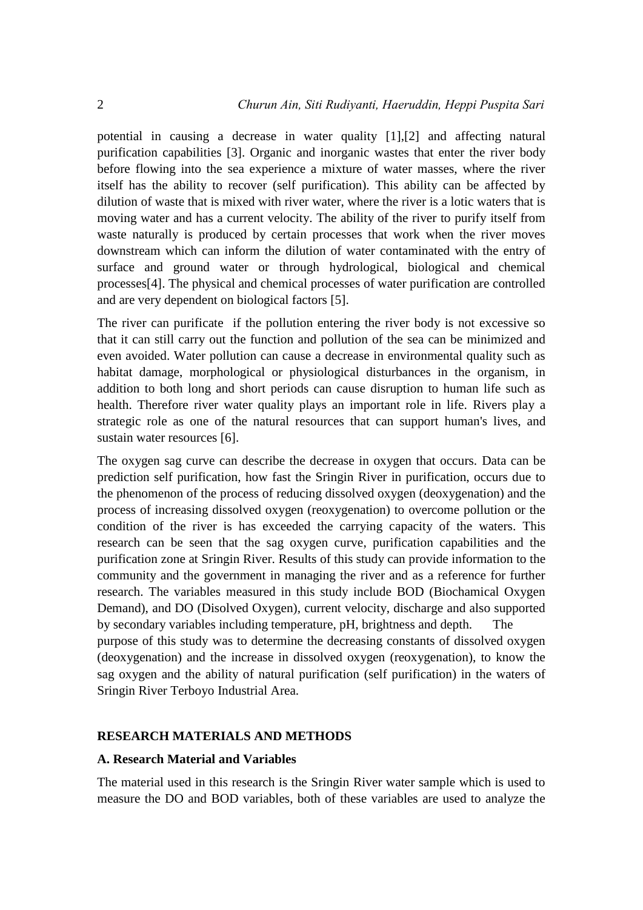potential in causing a decrease in water quality [1],[2] and affecting natural purification capabilities [3]. Organic and inorganic wastes that enter the river body before flowing into the sea experience a mixture of water masses, where the river itself has the ability to recover (self purification). This ability can be affected by dilution of waste that is mixed with river water, where the river is a lotic waters that is moving water and has a current velocity. The ability of the river to purify itself from waste naturally is produced by certain processes that work when the river moves downstream which can inform the dilution of water contaminated with the entry of surface and ground water or through hydrological, biological and chemical processes[4]. The physical and chemical processes of water purification are controlled and are very dependent on biological factors [5].

The river can purificate if the pollution entering the river body is not excessive so that it can still carry out the function and pollution of the sea can be minimized and even avoided. Water pollution can cause a decrease in environmental quality such as habitat damage, morphological or physiological disturbances in the organism, in addition to both long and short periods can cause disruption to human life such as health. Therefore river water quality plays an important role in life. Rivers play a strategic role as one of the natural resources that can support human's lives, and sustain water resources [6].

The oxygen sag curve can describe the decrease in oxygen that occurs. Data can be prediction self purification, how fast the Sringin River in purification, occurs due to the phenomenon of the process of reducing dissolved oxygen (deoxygenation) and the process of increasing dissolved oxygen (reoxygenation) to overcome pollution or the condition of the river is has exceeded the carrying capacity of the waters. This research can be seen that the sag oxygen curve, purification capabilities and the purification zone at Sringin River. Results of this study can provide information to the community and the government in managing the river and as a reference for further research. The variables measured in this study include BOD (Biochamical Oxygen Demand), and DO (Disolved Oxygen), current velocity, discharge and also supported by secondary variables including temperature, pH, brightness and depth. The purpose of this study was to determine the decreasing constants of dissolved oxygen (deoxygenation) and the increase in dissolved oxygen (reoxygenation), to know the sag oxygen and the ability of natural purification (self purification) in the waters of Sringin River Terboyo Industrial Area.

#### **RESEARCH MATERIALS AND METHODS**

#### **A. Research Material and Variables**

The material used in this research is the Sringin River water sample which is used to measure the DO and BOD variables, both of these variables are used to analyze the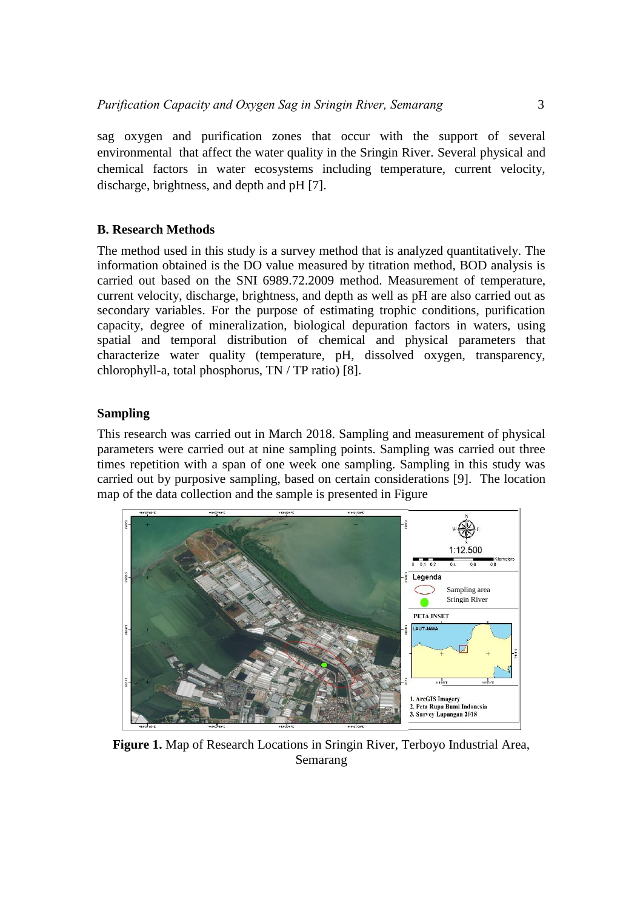sag oxygen and purification zones that occur with the support of several environmental that affect the water quality in the Sringin River. Several physical and chemical factors in water ecosystems including temperature, current velocity, discharge, brightness, and depth and pH [7].

# **B. Research Methods**

The method used in this study is a survey method that is analyzed quantitatively. The information obtained is the DO value measured by titration method, BOD analysis is carried out based on the SNI 6989.72.2009 method. Measurement of temperature, current velocity, discharge, brightness, and depth as well as pH are also carried out as secondary variables. For the purpose of estimating trophic conditions, purification capacity, degree of mineralization, biological depuration factors in waters, using spatial and temporal distribution of chemical and physical parameters that characterize water quality (temperature, pH, dissolved oxygen, transparency, chlorophyll-a, total phosphorus, TN / TP ratio) [8].

## **Sampling**

This research was carried out in March 2018. Sampling and measurement of physical parameters were carried out at nine sampling points. Sampling was carried out three times repetition with a span of one week one sampling. Sampling in this study was carried out by purposive sampling, based on certain considerations [9]. The location map of the data collection and the sample is presented in Figure



**Figure 1.** Map of Research Locations in Sringin River, Terboyo Industrial Area, Semarang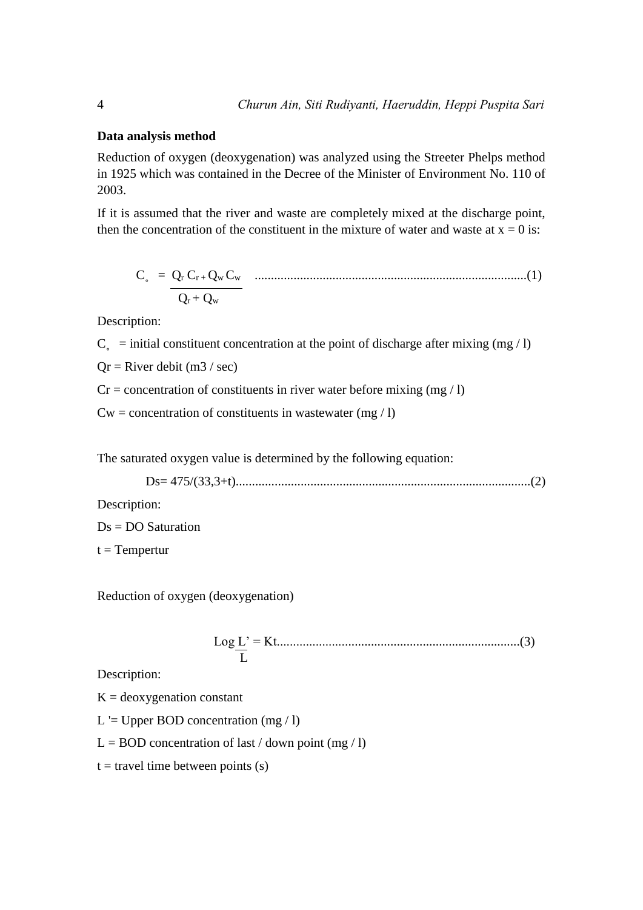#### **Data analysis method**

Reduction of oxygen (deoxygenation) was analyzed using the Streeter Phelps method in 1925 which was contained in the Decree of the Minister of Environment No. 110 of 2003.

If it is assumed that the river and waste are completely mixed at the discharge point, then the concentration of the constituent in the mixture of water and waste at  $x = 0$  is:

C˳ = Q<sup>r</sup> Cr + Qw Cw ....................................................................................(1)  $Q_r + Q_w$ 

Description:

 $C<sub>s</sub>$  = initial constituent concentration at the point of discharge after mixing (mg / l)

 $Qr =$  River debit (m3 / sec)

 $Cr =$  concentration of constituents in river water before mixing (mg / l)

 $Cw =$  concentration of constituents in wastewater (mg / l)

The saturated oxygen value is determined by the following equation:

Ds= 475/(33,3+t)...........................................................................................(2)

Description:

Ds = DO Saturation

 $t = Temperature$ 

Reduction of oxygen (deoxygenation)

Log L' = Kt...........................................................................(3) L

Description:

 $K =$  deoxygenation constant

L  $=$  Upper BOD concentration (mg  $/$  l)

 $L = BOD$  concentration of last / down point (mg / l)

 $t =$  travel time between points (s)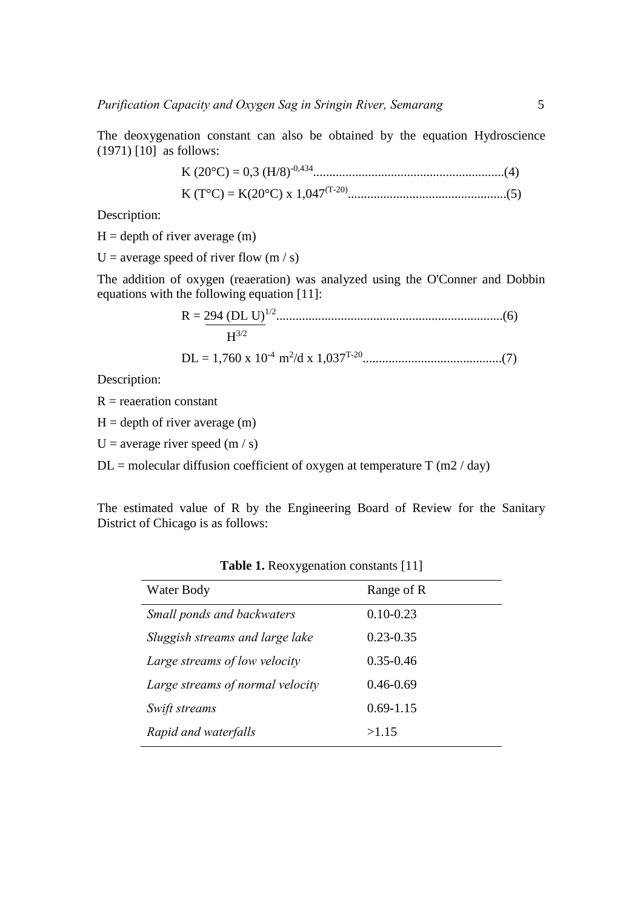The deoxygenation constant can also be obtained by the equation Hydroscience  $(1971)$   $[10]$  as follows:

> K (20°C) = 0,3 (H/8)-0,434...........................................................(4) K (T°C) = K(20°C) x 1,047(T-20).................................................(5)

Description:

 $H =$  depth of river average  $(m)$ 

U = average speed of river flow  $(m / s)$ 

The addition of oxygen (reaeration) was analyzed using the O'Conner and Dobbin equations with the following equation [11]:

$$
R = \frac{294 (DL U)^{1/2} \dots (6)}{H^{3/2}}
$$

DL = 1,760 x 10-4 m<sup>2</sup> /d x 1,037T-20...........................................(7)

Description:

 $R =$  reaeration constant

 $H =$  depth of river average  $(m)$ 

U = average river speed  $(m / s)$ 

 $DL$  = molecular diffusion coefficient of oxygen at temperature T (m2 / day)

The estimated value of R by the Engineering Board of Review for the Sanitary District of Chicago is as follows:

| Water Body                       | Range of R    |  |
|----------------------------------|---------------|--|
| Small ponds and backwaters       | $0.10 - 0.23$ |  |
| Sluggish streams and large lake  | $0.23 - 0.35$ |  |
| Large streams of low velocity    | $0.35 - 0.46$ |  |
| Large streams of normal velocity | $0.46 - 0.69$ |  |
| Swift streams                    | $0.69 - 1.15$ |  |
| Rapid and waterfalls             | >1.15         |  |

**Table 1.** Reoxygenation constants [11]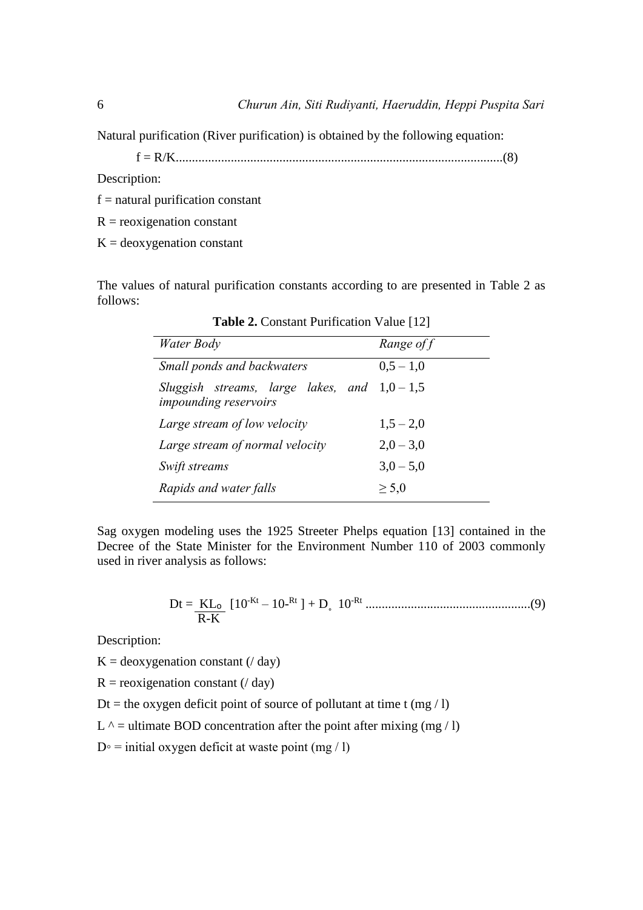Natural purification (River purification) is obtained by the following equation:

f = R/K.....................................................................................................(8)

Description:

 $f =$  natural purification constant

 $R =$  reoxigenation constant

 $K =$  deoxygenation constant

The values of natural purification constants according to are presented in Table 2 as follows:

| Water Body                                                            | Range of f  |
|-----------------------------------------------------------------------|-------------|
| Small ponds and backwaters                                            | $0.5 - 1.0$ |
| Sluggish streams, large lakes, and $1,0-1,5$<br>impounding reservoirs |             |
| Large stream of low velocity                                          | $1,5 - 2,0$ |
| Large stream of normal velocity                                       | $2,0 - 3,0$ |
| Swift streams                                                         | $3,0-5,0$   |
| Rapids and water falls                                                | $\geq 5.0$  |

**Table 2.** Constant Purification Value [12]

Sag oxygen modeling uses the 1925 Streeter Phelps equation [13] contained in the Decree of the State Minister for the Environment Number 110 of 2003 commonly used in river analysis as follows:

Dt = KLₒ [10-Kt – 10- Rt ] + D˳ 10-Rt ...................................................(9) R-K

Description:

 $K = deoxygenation constant (4) day)$ 

 $R =$  reoxigenation constant ( $/$  day)

Dt = the oxygen deficit point of source of pollutant at time t (mg / l)

L  $\land$  = ultimate BOD concentration after the point after mixing (mg / l)

 $D<sup>°</sup>$  = initial oxygen deficit at waste point (mg / l)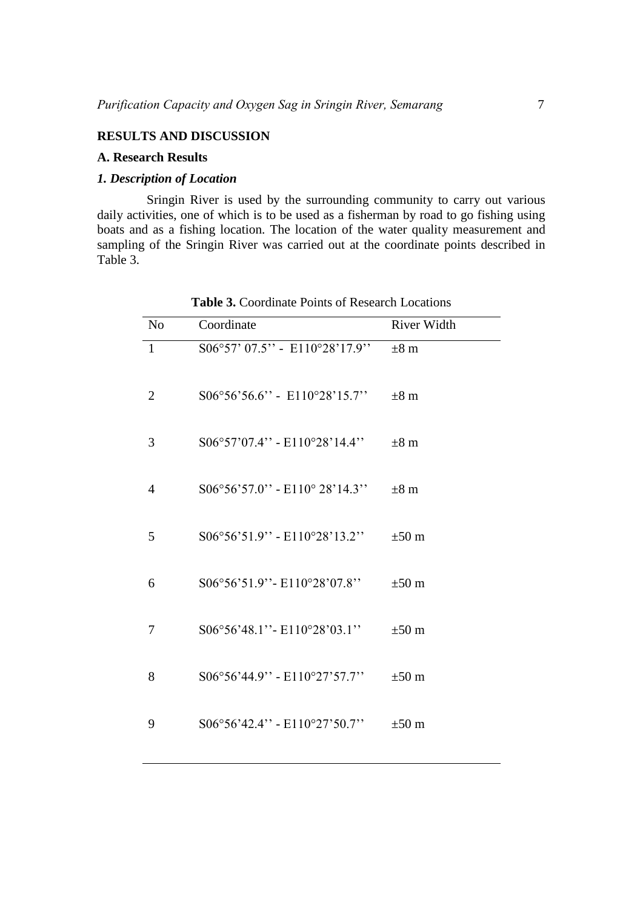#### **RESULTS AND DISCUSSION**

#### **A. Research Results**

#### *1. Description of Location*

Sringin River is used by the surrounding community to carry out various daily activities, one of which is to be used as a fisherman by road to go fishing using boats and as a fishing location. The location of the water quality measurement and sampling of the Sringin River was carried out at the coordinate points described in Table 3.

| N <sub>o</sub> | Coordinate                             | <b>River Width</b> |
|----------------|----------------------------------------|--------------------|
| $\mathbf{1}$   | S06°57' 07.5" - E110°28'17.9"          | $\pm 8$ m          |
| $\overline{2}$ | $S06^{\circ}56'56.6"$ - E110°28'15.7"  | $\pm 8$ m          |
| 3              | $S06°57'07.4" - E110°28'14.4"$         | $\pm 8$ m          |
| $\overline{4}$ | $S06^{\circ}56'57.0"$ - E110° 28'14.3" | $\pm 8$ m          |
| 5              | S06°56'51.9" - E110°28'13.2"           | $\pm 50$ m         |
| 6              | S06°56'51.9" - E110°28'07.8"           | $\pm 50$ m         |
| 7              | S06°56'48.1" - E110°28'03.1"           | $\pm 50$ m         |
| 8              | S06°56'44.9" - E110°27'57.7"           | $\pm 50$ m         |
| 9              | $S06°56'42.4" - E110°27'50.7"$         | $\pm 50$ m         |

Table 3. Coordinate Points of Research Locations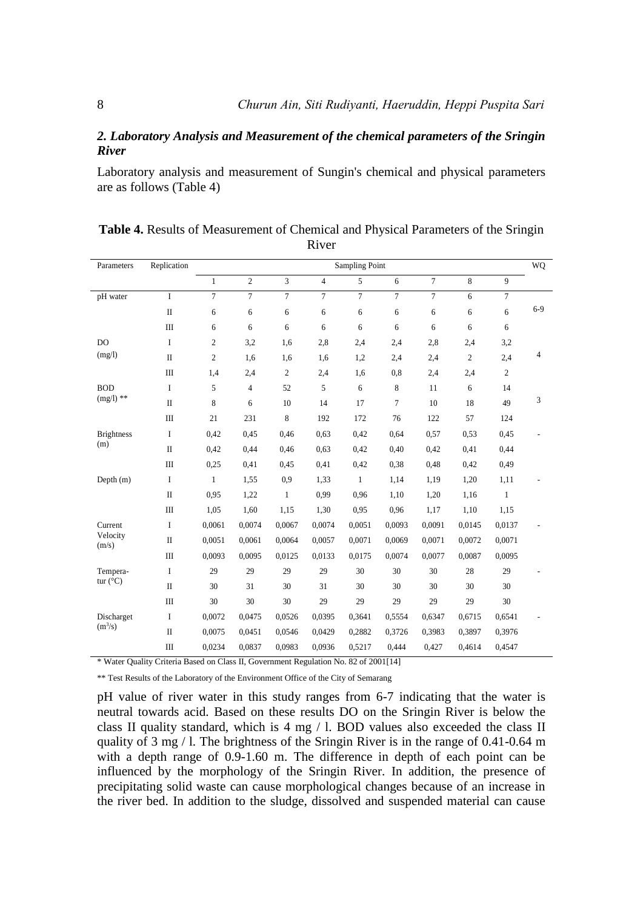## *2. Laboratory Analysis and Measurement of the chemical parameters of the Sringin River*

Laboratory analysis and measurement of Sungin's chemical and physical parameters are as follows (Table 4)

| Parameters                    | Replication  | <b>Sampling Point</b> |                |                |                |                | WQ             |                |                |                |         |
|-------------------------------|--------------|-----------------------|----------------|----------------|----------------|----------------|----------------|----------------|----------------|----------------|---------|
|                               |              | $\mathbf{1}$          | $\overline{2}$ | 3              | $\overline{4}$ | 5              | 6              | $\overline{7}$ | 8              | 9              |         |
| pH water                      | $\mathbf I$  | $\overline{7}$        | $\overline{7}$ | $\overline{7}$ | $\overline{7}$ | $\overline{7}$ | $\overline{7}$ | $\overline{7}$ | 6              | $\tau$         | $6 - 9$ |
|                               | $\mathbf{I}$ | 6                     | 6              | 6              | 6              | 6              | 6              | 6              | 6              | 6              |         |
|                               | $\rm III$    | 6                     | 6              | 6              | 6              | 6              | 6              | 6              | 6              | 6              |         |
| DO                            | $\mathbf I$  | $\boldsymbol{2}$      | 3,2            | 1,6            | 2,8            | 2,4            | 2,4            | 2,8            | 2,4            | 3,2            |         |
| (mg/l)                        | $\rm II$     | $\mathfrak{2}$        | 1,6            | 1,6            | 1,6            | 1,2            | 2,4            | 2,4            | $\mathfrak{2}$ | 2,4            | 4       |
|                               | $\rm III$    | 1,4                   | 2,4            | $\mathfrak{2}$ | 2,4            | 1,6            | 0,8            | 2,4            | 2,4            | $\overline{c}$ |         |
| <b>BOD</b>                    | $\bf{I}$     | 5                     | $\overline{4}$ | 52             | 5              | 6              | 8              | 11             | 6              | 14             |         |
| $(mg/l)$ **                   | $\rm II$     | 8                     | 6              | 10             | 14             | 17             | $\overline{7}$ | 10             | 18             | 49             | 3       |
|                               | III          | 21                    | 231            | 8              | 192            | 172            | 76             | 122            | 57             | 124            |         |
| <b>Brightness</b><br>(m)      | $\mathbf I$  | 0,42                  | 0,45           | 0,46           | 0,63           | 0,42           | 0,64           | 0,57           | 0,53           | 0,45           |         |
|                               | $\mathbf{I}$ | 0,42                  | 0,44           | 0,46           | 0,63           | 0,42           | 0,40           | 0,42           | 0,41           | 0,44           |         |
|                               | $\rm III$    | 0,25                  | 0,41           | 0,45           | 0,41           | 0,42           | 0,38           | 0,48           | 0,42           | 0,49           |         |
| Depth $(m)$                   | $\mathbf I$  | $\mathbf{1}$          | 1,55           | 0,9            | 1,33           | $\mathbf{1}$   | 1,14           | 1,19           | 1,20           | 1,11           |         |
|                               | $\rm II$     | 0,95                  | 1,22           | $\mathbf{1}$   | 0,99           | 0,96           | 1,10           | 1,20           | 1,16           | $\mathbf{1}$   |         |
|                               | Ш            | 1,05                  | 1,60           | 1,15           | 1,30           | 0,95           | 0.96           | 1,17           | 1,10           | 1,15           |         |
| Current                       | $\bf{I}$     | 0,0061                | 0,0074         | 0,0067         | 0,0074         | 0,0051         | 0,0093         | 0,0091         | 0,0145         | 0,0137         |         |
| Velocity<br>(m/s)             | $\rm II$     | 0,0051                | 0,0061         | 0,0064         | 0,0057         | 0,0071         | 0,0069         | 0,0071         | 0,0072         | 0,0071         |         |
|                               | $\rm III$    | 0,0093                | 0,0095         | 0,0125         | 0,0133         | 0,0175         | 0,0074         | 0,0077         | 0,0087         | 0,0095         |         |
| Tempera-<br>tur $(^{\circ}C)$ | I            | 29                    | 29             | 29             | 29             | 30             | 30             | 30             | 28             | 29             |         |
|                               | $\rm II$     | 30                    | 31             | 30             | 31             | 30             | 30             | 30             | 30             | 30             |         |
|                               | Ш            | 30                    | 30             | 30             | 29             | 29             | 29             | 29             | 29             | 30             |         |
| Discharget<br>$(m^3/s)$       | $\bf{I}$     | 0,0072                | 0,0475         | 0,0526         | 0,0395         | 0,3641         | 0,5554         | 0.6347         | 0,6715         | 0.6541         |         |
|                               | $\rm II$     | 0,0075                | 0,0451         | 0,0546         | 0,0429         | 0,2882         | 0,3726         | 0,3983         | 0,3897         | 0,3976         |         |
|                               | $\rm III$    | 0,0234                | 0,0837         | 0.0983         | 0.0936         | 0,5217         | 0,444          | 0,427          | 0,4614         | 0.4547         |         |

**Table 4.** Results of Measurement of Chemical and Physical Parameters of the Sringin River

\* Water Quality Criteria Based on Class II, Government Regulation No. 82 of 2001[14]

\*\* Test Results of the Laboratory of the Environment Office of the City of Semarang

pH value of river water in this study ranges from 6-7 indicating that the water is neutral towards acid. Based on these results DO on the Sringin River is below the class II quality standard, which is 4 mg / l. BOD values also exceeded the class II quality of 3 mg / l. The brightness of the Sringin River is in the range of 0.41-0.64 m with a depth range of 0.9-1.60 m. The difference in depth of each point can be influenced by the morphology of the Sringin River. In addition, the presence of precipitating solid waste can cause morphological changes because of an increase in the river bed. In addition to the sludge, dissolved and suspended material can cause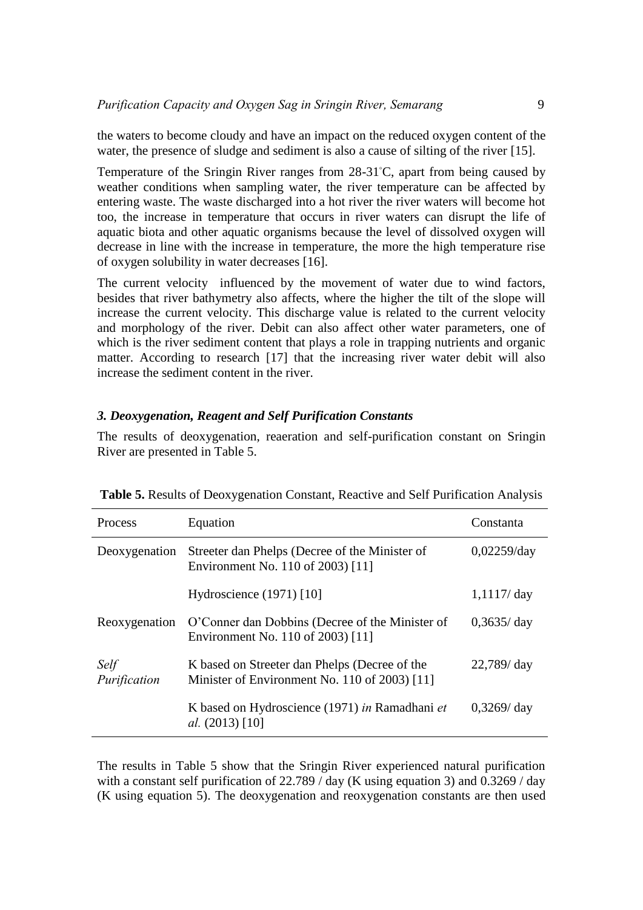the waters to become cloudy and have an impact on the reduced oxygen content of the water, the presence of sludge and sediment is also a cause of silting of the river [15].

Temperature of the Sringin River ranges from 28-31◦C, apart from being caused by weather conditions when sampling water, the river temperature can be affected by entering waste. The waste discharged into a hot river the river waters will become hot too, the increase in temperature that occurs in river waters can disrupt the life of aquatic biota and other aquatic organisms because the level of dissolved oxygen will decrease in line with the increase in temperature, the more the high temperature rise of oxygen solubility in water decreases [16].

The current velocity influenced by the movement of water due to wind factors, besides that river bathymetry also affects, where the higher the tilt of the slope will increase the current velocity. This discharge value is related to the current velocity and morphology of the river. Debit can also affect other water parameters, one of which is the river sediment content that plays a role in trapping nutrients and organic matter. According to research [17] that the increasing river water debit will also increase the sediment content in the river.

#### *3. Deoxygenation, Reagent and Self Purification Constants*

The results of deoxygenation, reaeration and self-purification constant on Sringin River are presented in Table 5.

| Process              | Equation                                                                                       | Constanta      |  |
|----------------------|------------------------------------------------------------------------------------------------|----------------|--|
| Deoxygenation        | Streeter dan Phelps (Decree of the Minister of<br>Environment No. 110 of 2003) [11]            | $0,02259$ /day |  |
|                      | Hydroscience $(1971)$ [10]                                                                     | $1,1117/$ day  |  |
| Reoxygenation        | O'Conner dan Dobbins (Decree of the Minister of<br>Environment No. 110 of 2003) [11]           | $0,3635/$ day  |  |
| Self<br>Purification | K based on Streeter dan Phelps (Decree of the<br>Minister of Environment No. 110 of 2003) [11] | $22,789$ day   |  |
|                      | K based on Hydroscience (1971) in Ramadhani et<br>al. $(2013)$ [10]                            | $0,3269$ day   |  |

**Table 5.** Results of Deoxygenation Constant, Reactive and Self Purification Analysis

The results in Table 5 show that the Sringin River experienced natural purification with a constant self purification of 22.789 / day (K using equation 3) and 0.3269 / day (K using equation 5). The deoxygenation and reoxygenation constants are then used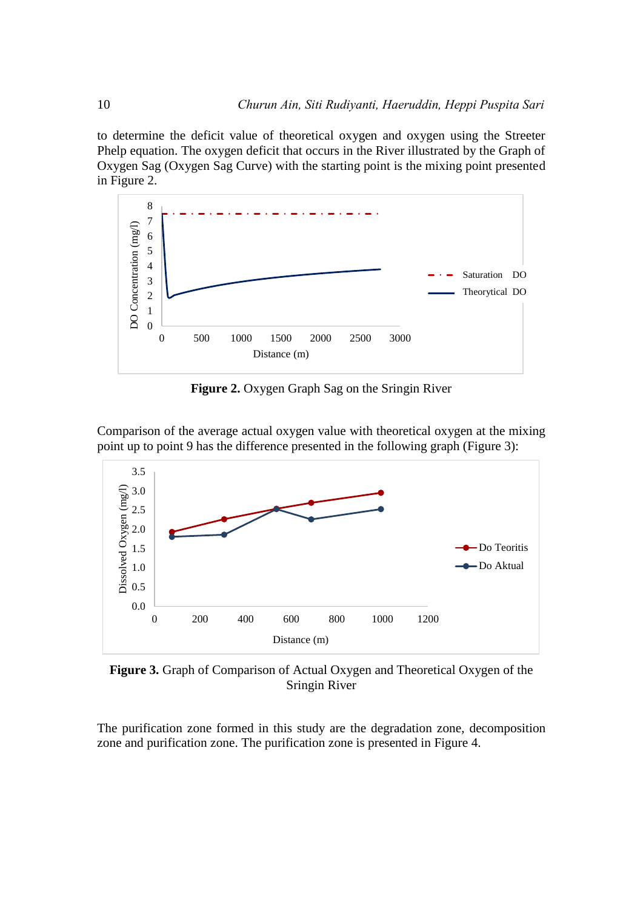to determine the deficit value of theoretical oxygen and oxygen using the Streeter Phelp equation. The oxygen deficit that occurs in the River illustrated by the Graph of Oxygen Sag (Oxygen Sag Curve) with the starting point is the mixing point presented in Figure 2.



**Figure 2.** Oxygen Graph Sag on the Sringin River

Comparison of the average actual oxygen value with theoretical oxygen at the mixing point up to point 9 has the difference presented in the following graph (Figure 3):



**Figure 3.** Graph of Comparison of Actual Oxygen and Theoretical Oxygen of the Sringin River

The purification zone formed in this study are the degradation zone, decomposition zone and purification zone. The purification zone is presented in Figure 4.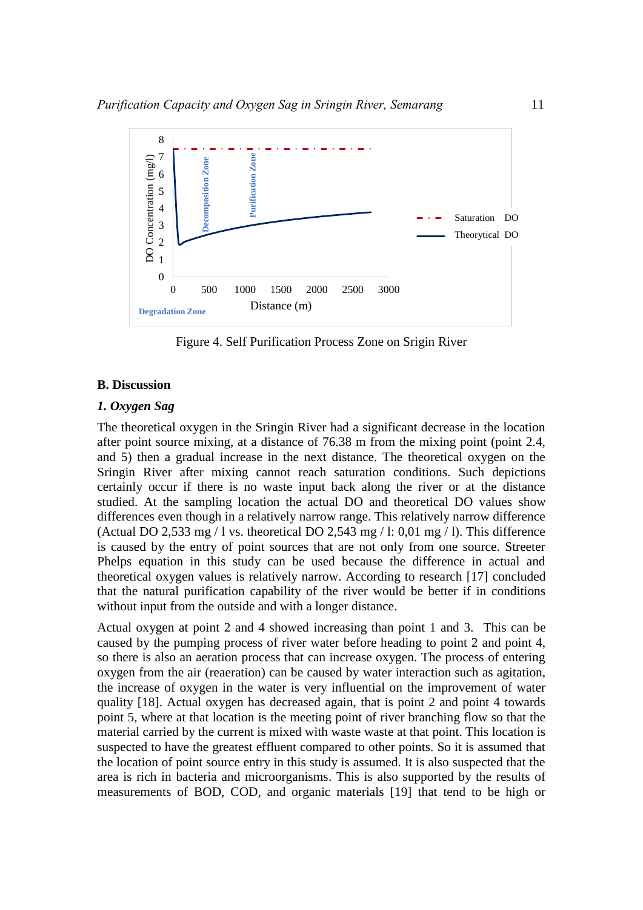

Figure 4. Self Purification Process Zone on Srigin River

## **B. Discussion**

## *1. Oxygen Sag*

The theoretical oxygen in the Sringin River had a significant decrease in the location after point source mixing, at a distance of 76.38 m from the mixing point (point 2.4, and 5) then a gradual increase in the next distance. The theoretical oxygen on the Sringin River after mixing cannot reach saturation conditions. Such depictions certainly occur if there is no waste input back along the river or at the distance studied. At the sampling location the actual DO and theoretical DO values show differences even though in a relatively narrow range. This relatively narrow difference (Actual DO 2,533 mg / l vs. theoretical DO 2,543 mg / l: 0,01 mg / l). This difference is caused by the entry of point sources that are not only from one source. Streeter Phelps equation in this study can be used because the difference in actual and theoretical oxygen values is relatively narrow. According to research [17] concluded that the natural purification capability of the river would be better if in conditions without input from the outside and with a longer distance.

Actual oxygen at point 2 and 4 showed increasing than point 1 and 3. This can be caused by the pumping process of river water before heading to point 2 and point 4, so there is also an aeration process that can increase oxygen. The process of entering oxygen from the air (reaeration) can be caused by water interaction such as agitation, the increase of oxygen in the water is very influential on the improvement of water quality [18]. Actual oxygen has decreased again, that is point 2 and point 4 towards point 5, where at that location is the meeting point of river branching flow so that the material carried by the current is mixed with waste waste at that point. This location is suspected to have the greatest effluent compared to other points. So it is assumed that the location of point source entry in this study is assumed. It is also suspected that the area is rich in bacteria and microorganisms. This is also supported by the results of measurements of BOD, COD, and organic materials [19] that tend to be high or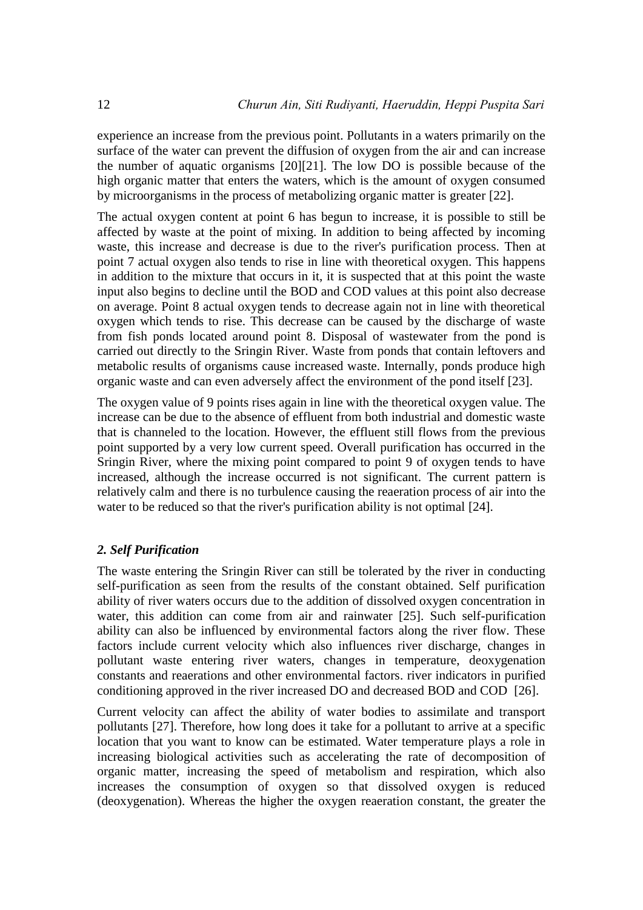experience an increase from the previous point. Pollutants in a waters primarily on the surface of the water can prevent the diffusion of oxygen from the air and can increase the number of aquatic organisms [20][21]. The low DO is possible because of the high organic matter that enters the waters, which is the amount of oxygen consumed by microorganisms in the process of metabolizing organic matter is greater [22].

The actual oxygen content at point 6 has begun to increase, it is possible to still be affected by waste at the point of mixing. In addition to being affected by incoming waste, this increase and decrease is due to the river's purification process. Then at point 7 actual oxygen also tends to rise in line with theoretical oxygen. This happens in addition to the mixture that occurs in it, it is suspected that at this point the waste input also begins to decline until the BOD and COD values at this point also decrease on average. Point 8 actual oxygen tends to decrease again not in line with theoretical oxygen which tends to rise. This decrease can be caused by the discharge of waste from fish ponds located around point 8. Disposal of wastewater from the pond is carried out directly to the Sringin River. Waste from ponds that contain leftovers and metabolic results of organisms cause increased waste. Internally, ponds produce high organic waste and can even adversely affect the environment of the pond itself [23].

The oxygen value of 9 points rises again in line with the theoretical oxygen value. The increase can be due to the absence of effluent from both industrial and domestic waste that is channeled to the location. However, the effluent still flows from the previous point supported by a very low current speed. Overall purification has occurred in the Sringin River, where the mixing point compared to point 9 of oxygen tends to have increased, although the increase occurred is not significant. The current pattern is relatively calm and there is no turbulence causing the reaeration process of air into the water to be reduced so that the river's purification ability is not optimal [24].

### *2. Self Purification*

The waste entering the Sringin River can still be tolerated by the river in conducting self-purification as seen from the results of the constant obtained. Self purification ability of river waters occurs due to the addition of dissolved oxygen concentration in water, this addition can come from air and rainwater [25]. Such self-purification ability can also be influenced by environmental factors along the river flow. These factors include current velocity which also influences river discharge, changes in pollutant waste entering river waters, changes in temperature, deoxygenation constants and reaerations and other environmental factors. river indicators in purified conditioning approved in the river increased DO and decreased BOD and COD [26].

Current velocity can affect the ability of water bodies to assimilate and transport pollutants [27]. Therefore, how long does it take for a pollutant to arrive at a specific location that you want to know can be estimated. Water temperature plays a role in increasing biological activities such as accelerating the rate of decomposition of organic matter, increasing the speed of metabolism and respiration, which also increases the consumption of oxygen so that dissolved oxygen is reduced (deoxygenation). Whereas the higher the oxygen reaeration constant, the greater the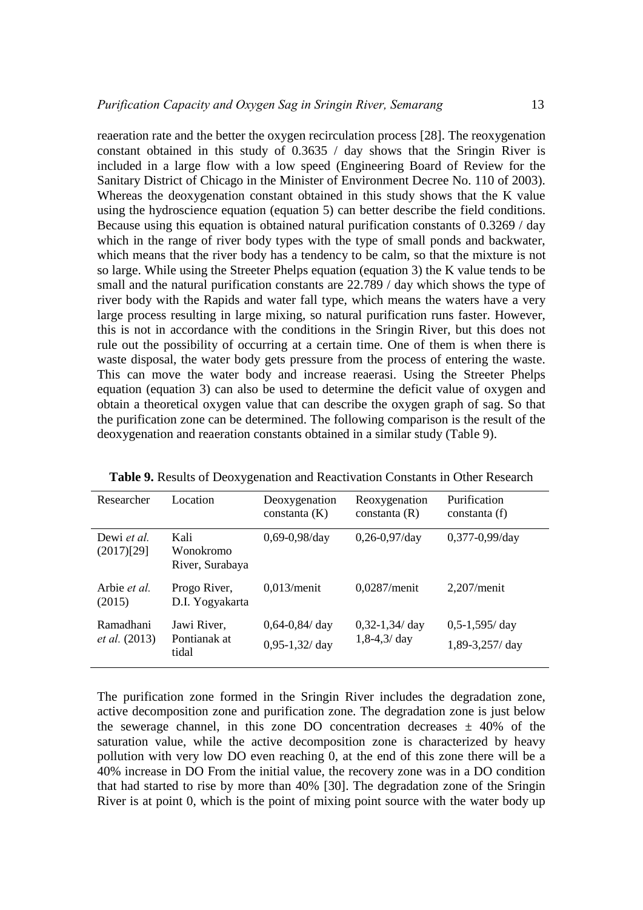reaeration rate and the better the oxygen recirculation process [28]. The reoxygenation constant obtained in this study of 0.3635 / day shows that the Sringin River is included in a large flow with a low speed (Engineering Board of Review for the Sanitary District of Chicago in the Minister of Environment Decree No. 110 of 2003). Whereas the deoxygenation constant obtained in this study shows that the K value using the hydroscience equation (equation 5) can better describe the field conditions. Because using this equation is obtained natural purification constants of 0.3269 / day which in the range of river body types with the type of small ponds and backwater, which means that the river body has a tendency to be calm, so that the mixture is not so large. While using the Streeter Phelps equation (equation 3) the K value tends to be small and the natural purification constants are 22.789 / day which shows the type of river body with the Rapids and water fall type, which means the waters have a very large process resulting in large mixing, so natural purification runs faster. However, this is not in accordance with the conditions in the Sringin River, but this does not rule out the possibility of occurring at a certain time. One of them is when there is waste disposal, the water body gets pressure from the process of entering the waste. This can move the water body and increase reaerasi. Using the Streeter Phelps equation (equation 3) can also be used to determine the deficit value of oxygen and obtain a theoretical oxygen value that can describe the oxygen graph of sag. So that the purification zone can be determined. The following comparison is the result of the deoxygenation and reaeration constants obtained in a similar study (Table 9).

| Researcher                        | Location                             | Deoxygenation<br>constanta $(K)$    | Reoxygenation<br>constanta $(R)$  | Purification<br>constanta (f)         |
|-----------------------------------|--------------------------------------|-------------------------------------|-----------------------------------|---------------------------------------|
| Dewi et al.<br>(2017)[29]         | Kali<br>Wonokromo<br>River, Surabaya | $0,69-0,98$ /day                    | $0,26-0,97$ /day                  | $0,377-0,99$ /day                     |
| Arbie <i>et al.</i><br>(2015)     | Progo River,<br>D.I. Yogyakarta      | $0,013/m$ enit                      | $0.0287/m$ enit                   | $2,207/m$ enit                        |
| Ramadhani<br><i>et al.</i> (2013) | Jawi River,<br>Pontianak at<br>tidal | $0,64-0,84$ /day<br>$0,95-1,32$ day | $0,32-1,34$ day<br>$1,8-4,3/$ day | $0, 5-1, 595$ / day<br>1,89-3,257/day |

**Table 9.** Results of Deoxygenation and Reactivation Constants in Other Research

The purification zone formed in the Sringin River includes the degradation zone, active decomposition zone and purification zone. The degradation zone is just below the sewerage channel, in this zone DO concentration decreases  $\pm$  40% of the saturation value, while the active decomposition zone is characterized by heavy pollution with very low DO even reaching 0, at the end of this zone there will be a 40% increase in DO From the initial value, the recovery zone was in a DO condition that had started to rise by more than 40% [30]. The degradation zone of the Sringin River is at point 0, which is the point of mixing point source with the water body up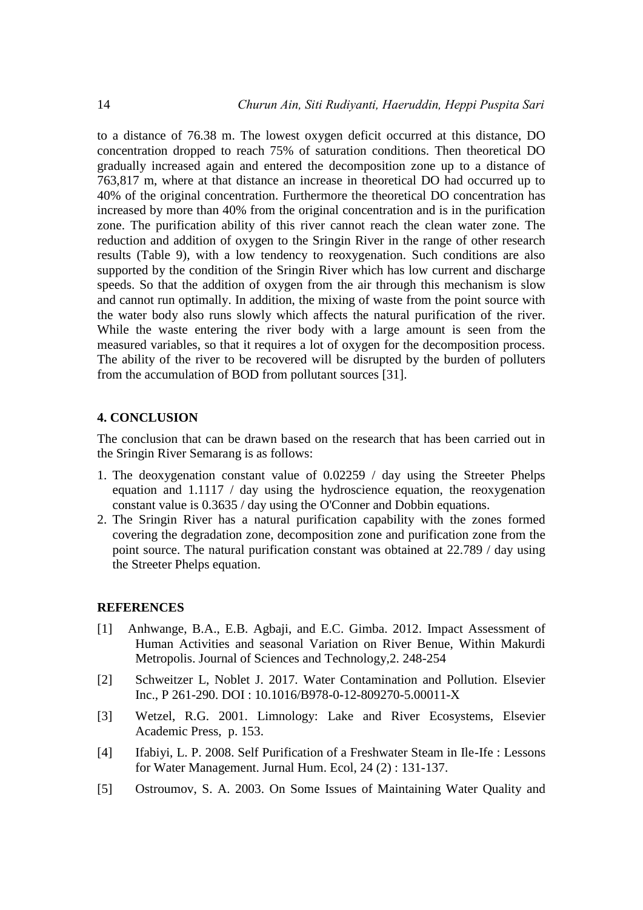to a distance of 76.38 m. The lowest oxygen deficit occurred at this distance, DO concentration dropped to reach 75% of saturation conditions. Then theoretical DO gradually increased again and entered the decomposition zone up to a distance of 763,817 m, where at that distance an increase in theoretical DO had occurred up to 40% of the original concentration. Furthermore the theoretical DO concentration has increased by more than 40% from the original concentration and is in the purification zone. The purification ability of this river cannot reach the clean water zone. The reduction and addition of oxygen to the Sringin River in the range of other research results (Table 9), with a low tendency to reoxygenation. Such conditions are also supported by the condition of the Sringin River which has low current and discharge speeds. So that the addition of oxygen from the air through this mechanism is slow and cannot run optimally. In addition, the mixing of waste from the point source with the water body also runs slowly which affects the natural purification of the river. While the waste entering the river body with a large amount is seen from the measured variables, so that it requires a lot of oxygen for the decomposition process. The ability of the river to be recovered will be disrupted by the burden of polluters from the accumulation of BOD from pollutant sources [31].

#### **4. CONCLUSION**

The conclusion that can be drawn based on the research that has been carried out in the Sringin River Semarang is as follows:

- 1. The deoxygenation constant value of 0.02259 / day using the Streeter Phelps equation and 1.1117 / day using the hydroscience equation, the reoxygenation constant value is 0.3635 / day using the O'Conner and Dobbin equations.
- 2. The Sringin River has a natural purification capability with the zones formed covering the degradation zone, decomposition zone and purification zone from the point source. The natural purification constant was obtained at 22.789 / day using the Streeter Phelps equation.

#### **REFERENCES**

- [1] Anhwange, B.A., E.B. Agbaji, and E.C. Gimba. 2012. Impact Assessment of Human Activities and seasonal Variation on River Benue, Within Makurdi Metropolis. Journal of Sciences and Technology,2. 248-254
- [2] Schweitzer L, Noblet J. 2017. Water Contamination and Pollution. Elsevier Inc., P 261-290. DOI : 10.1016/B978-0-12-809270-5.00011-X
- [3] Wetzel, R.G. 2001. Limnology: Lake and River Ecosystems, Elsevier Academic Press, p. 153.
- [4] Ifabiyi, L. P. 2008. Self Purification of a Freshwater Steam in Ile-Ife : Lessons for Water Management. Jurnal Hum. Ecol, 24 (2) : 131-137.
- [5] Ostroumov, S. A. 2003. On Some Issues of Maintaining Water Quality and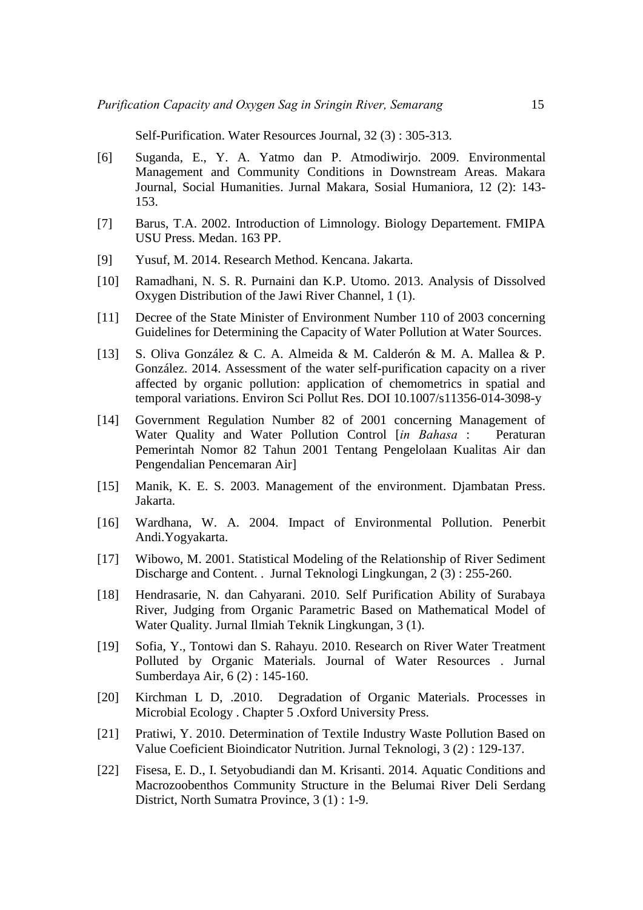Self-Purification. Water Resources Journal, 32 (3) : 305-313.

- [6] Suganda, E., Y. A. Yatmo dan P. Atmodiwirjo. 2009. Environmental Management and Community Conditions in Downstream Areas. Makara Journal, Social Humanities. Jurnal Makara, Sosial Humaniora, 12 (2): 143- 153.
- [7] Barus, T.A. 2002. Introduction of Limnology. Biology Departement. FMIPA USU Press. Medan. 163 PP.
- [9] Yusuf, M. 2014. Research Method. Kencana. Jakarta.
- [10] Ramadhani, N. S. R. Purnaini dan K.P. Utomo. 2013. Analysis of Dissolved Oxygen Distribution of the Jawi River Channel, 1 (1).
- [11] Decree of the State Minister of Environment Number 110 of 2003 concerning Guidelines for Determining the Capacity of Water Pollution at Water Sources.
- [13] S. Oliva González & C. A. Almeida & M. Calderón & M. A. Mallea & P. González. 2014. Assessment of the water self-purification capacity on a river affected by organic pollution: application of chemometrics in spatial and temporal variations. Environ Sci Pollut Res. DOI 10.1007/s11356-014-3098-y
- [14] Government Regulation Number 82 of 2001 concerning Management of Water Quality and Water Pollution Control [*in Bahasa* : Peraturan Pemerintah Nomor 82 Tahun 2001 Tentang Pengelolaan Kualitas Air dan Pengendalian Pencemaran Air]
- [15] Manik, K. E. S. 2003. Management of the environment. Djambatan Press. Jakarta.
- [16] Wardhana, W. A. 2004. Impact of Environmental Pollution. Penerbit Andi.Yogyakarta.
- [17] Wibowo, M. 2001. Statistical Modeling of the Relationship of River Sediment Discharge and Content. . Jurnal Teknologi Lingkungan, 2 (3) : 255-260.
- [18] Hendrasarie, N. dan Cahyarani. 2010. Self Purification Ability of Surabaya River, Judging from Organic Parametric Based on Mathematical Model of Water Quality. Jurnal Ilmiah Teknik Lingkungan, 3 (1).
- [19] Sofia, Y., Tontowi dan S. Rahayu. 2010. Research on River Water Treatment Polluted by Organic Materials. Journal of Water Resources . Jurnal Sumberdaya Air, 6 (2) : 145-160.
- [20] Kirchman L D, .2010. Degradation of Organic Materials. Processes in Microbial Ecology . Chapter 5 .Oxford University Press.
- [21] Pratiwi, Y. 2010. Determination of Textile Industry Waste Pollution Based on Value Coeficient Bioindicator Nutrition. Jurnal Teknologi, 3 (2) : 129-137.
- [22] Fisesa, E. D., I. Setyobudiandi dan M. Krisanti. 2014. Aquatic Conditions and Macrozoobenthos Community Structure in the Belumai River Deli Serdang District, North Sumatra Province, 3 (1) : 1-9.